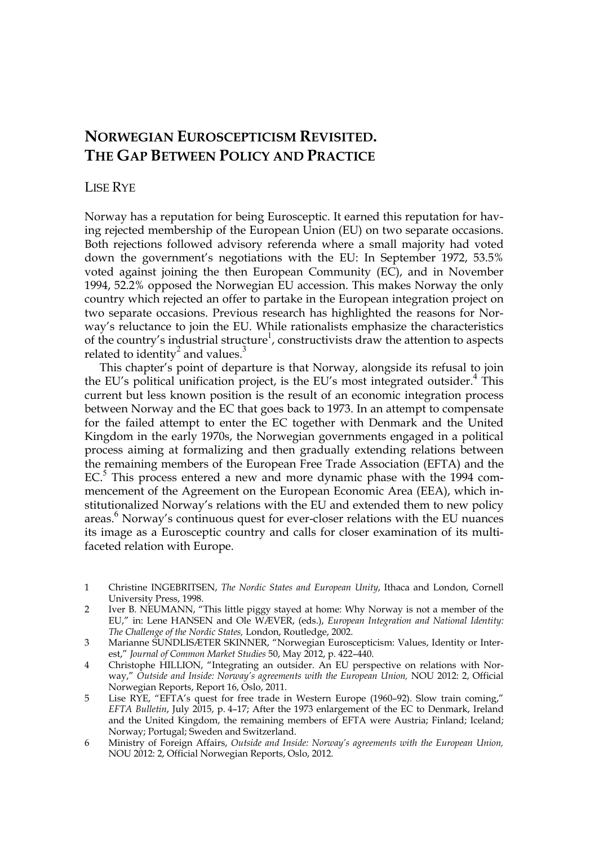# **NORWEGIAN EUROSCEPTICISM REVISITED. THE GAP BETWEEN POLICY AND PRACTICE**

### LISE RYE

Norway has a reputation for being Eurosceptic. It earned this reputation for having rejected membership of the European Union (EU) on two separate occasions. Both rejections followed advisory referenda where a small majority had voted down the government's negotiations with the EU: In September 1972, 53.5% voted against joining the then European Community (EC), and in November 1994, 52.2% opposed the Norwegian EU accession. This makes Norway the only country which rejected an offer to partake in the European integration project on two separate occasions. Previous research has highlighted the reasons for Norway's reluctance to join the EU. While rationalists emphasize the characteristics of the country's industrial structure<sup>1</sup>, constructivists draw the attention to aspects related to identity<sup>2</sup> and values.<sup>3</sup>

This chapter's point of departure is that Norway, alongside its refusal to join the EU's political unification project, is the EU's most integrated outsider.<sup>4</sup> This current but less known position is the result of an economic integration process between Norway and the EC that goes back to 1973. In an attempt to compensate for the failed attempt to enter the EC together with Denmark and the United Kingdom in the early 1970s, the Norwegian governments engaged in a political process aiming at formalizing and then gradually extending relations between the remaining members of the European Free Trade Association (EFTA) and the EC.<sup>5</sup> This process entered a new and more dynamic phase with the 1994 commencement of the Agreement on the European Economic Area (EEA), which institutionalized Norway's relations with the EU and extended them to new policy areas. 6 Norway's continuous quest for ever-closer relations with the EU nuances its image as a Eurosceptic country and calls for closer examination of its multifaceted relation with Europe.

- 1 Christine INGEBRITSEN, *The Nordic States and European Unity*, Ithaca and London, Cornell University Press, 1998.
- 2 Iver B. NEUMANN, "This little piggy stayed at home: Why Norway is not a member of the EU," in: Lene HANSEN and Ole WÆVER, (eds.), *European Integration and National Identity: The Challenge of the Nordic States,* London, Routledge, 2002.
- 3 Marianne SUNDLISÆTER SKINNER, "Norwegian Euroscepticism: Values, Identity or Interest," *Journal of Common Market Studies* 50, May 2012, p. 422–440.
- 4 Christophe HILLION, "Integrating an outsider. An EU perspective on relations with Norway," *Outside and Inside: Norway's agreements with the European Union,* NOU 2012: 2, Official Norwegian Reports, Report 16, Oslo, 2011.
- 5 Lise RYE, "EFTA's quest for free trade in Western Europe (1960–92). Slow train coming," *EFTA Bulletin*, July 2015, p. 4–17; After the 1973 enlargement of the EC to Denmark, Ireland and the United Kingdom, the remaining members of EFTA were Austria; Finland; Iceland; Norway; Portugal; Sweden and Switzerland.
- 6 Ministry of Foreign Affairs, *Outside and Inside: Norway's agreements with the European Union,*  NOU 2012: 2, Official Norwegian Reports, Oslo, 2012.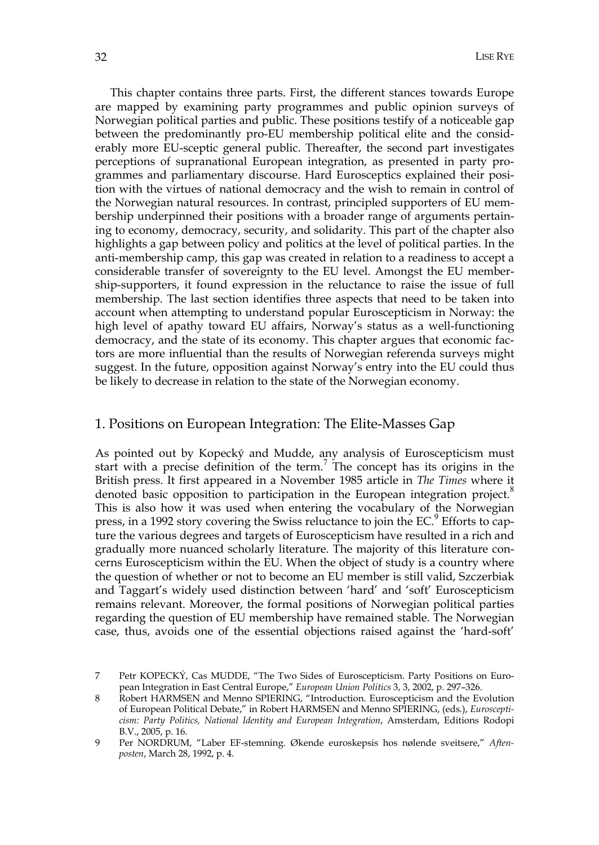This chapter contains three parts. First, the different stances towards Europe are mapped by examining party programmes and public opinion surveys of Norwegian political parties and public. These positions testify of a noticeable gap between the predominantly pro-EU membership political elite and the considerably more EU-sceptic general public. Thereafter, the second part investigates perceptions of supranational European integration, as presented in party programmes and parliamentary discourse. Hard Eurosceptics explained their position with the virtues of national democracy and the wish to remain in control of the Norwegian natural resources. In contrast, principled supporters of EU membership underpinned their positions with a broader range of arguments pertaining to economy, democracy, security, and solidarity. This part of the chapter also highlights a gap between policy and politics at the level of political parties. In the anti-membership camp, this gap was created in relation to a readiness to accept a considerable transfer of sovereignty to the EU level. Amongst the EU membership-supporters, it found expression in the reluctance to raise the issue of full membership. The last section identifies three aspects that need to be taken into account when attempting to understand popular Euroscepticism in Norway: the high level of apathy toward EU affairs, Norway's status as a well-functioning democracy, and the state of its economy. This chapter argues that economic factors are more influential than the results of Norwegian referenda surveys might suggest. In the future, opposition against Norway's entry into the EU could thus be likely to decrease in relation to the state of the Norwegian economy.

### 1. Positions on European Integration: The Elite-Masses Gap

As pointed out by Kopecký and Mudde, any analysis of Euroscepticism must start with a precise definition of the term.<sup>7</sup> The concept has its origins in the British press. It first appeared in a November 1985 article in *The Times* where it denoted basic opposition to participation in the European integration project.<sup>8</sup> This is also how it was used when entering the vocabulary of the Norwegian press, in a 1992 story covering the Swiss reluctance to join the EC.<sup>9</sup> Efforts to capture the various degrees and targets of Euroscepticism have resulted in a rich and gradually more nuanced scholarly literature. The majority of this literature concerns Euroscepticism within the EU. When the object of study is a country where the question of whether or not to become an EU member is still valid, Szczerbiak and Taggart's widely used distinction between 'hard' and 'soft' Euroscepticism remains relevant. Moreover, the formal positions of Norwegian political parties regarding the question of EU membership have remained stable. The Norwegian case, thus, avoids one of the essential objections raised against the 'hard-soft'

<sup>7</sup> Petr KOPECKÝ, Cas MUDDE, "The Two Sides of Euroscepticism. Party Positions on European Integration in East Central Europe," *European Union Politics* 3, 3, 2002, p. 297–326.

<sup>8</sup> Robert HARMSEN and Menno SPIERING, "Introduction. Euroscepticism and the Evolution of European Political Debate," in Robert HARMSEN and Menno SPIERING, (eds*.*), *Euroscepticism: Party Politics, National Identity and European Integration*, Amsterdam, Editions Rodopi B.V., 2005, p. 16.

<sup>9</sup> Per NORDRUM, "Laber EF-stemning. Økende euroskepsis hos nølende sveitsere," *Aftenposten*, March 28, 1992, p. 4.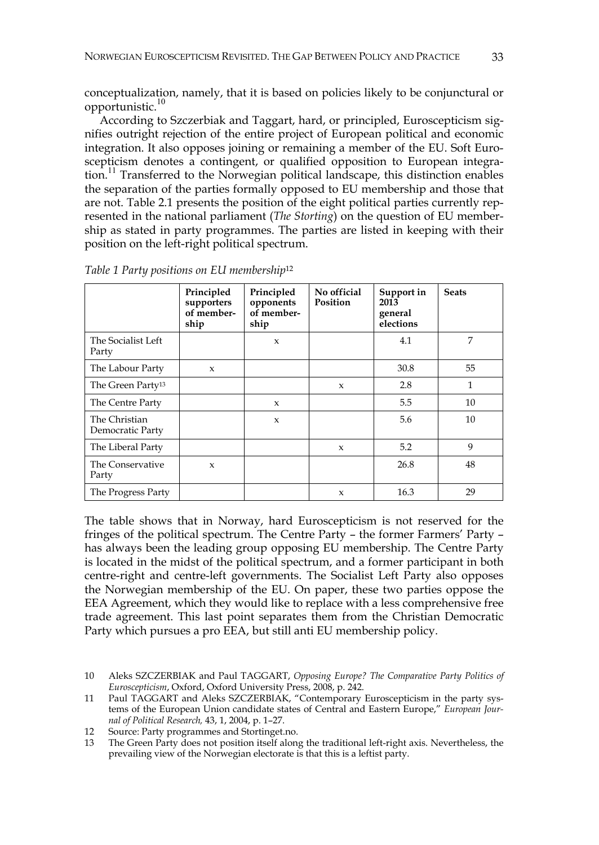conceptualization, namely, that it is based on policies likely to be conjunctural or opportunistic.<sup>10</sup>

According to Szczerbiak and Taggart, hard, or principled, Euroscepticism signifies outright rejection of the entire project of European political and economic integration. It also opposes joining or remaining a member of the EU. Soft Euroscepticism denotes a contingent, or qualified opposition to European integration.<sup>11</sup> Transferred to the Norwegian political landscape, this distinction enables the separation of the parties formally opposed to EU membership and those that are not. Table 2.1 presents the position of the eight political parties currently represented in the national parliament (*The Storting*) on the question of EU membership as stated in party programmes. The parties are listed in keeping with their position on the left-right political spectrum.

|                                   | Principled<br>supporters<br>of member-<br>ship | Principled<br>opponents<br>of member-<br>ship | No official<br>Position | Support in<br>2013<br>general<br>elections | <b>Seats</b> |
|-----------------------------------|------------------------------------------------|-----------------------------------------------|-------------------------|--------------------------------------------|--------------|
| The Socialist Left<br>Party       |                                                | $\mathbf{x}$                                  |                         | 4.1                                        | 7            |
| The Labour Party                  | $\mathbf{x}$                                   |                                               |                         | 30.8                                       | 55           |
| The Green Party <sup>13</sup>     |                                                |                                               | $\mathbf{x}$            | 2.8                                        | 1            |
| The Centre Party                  |                                                | $\boldsymbol{\chi}$                           |                         | 5.5                                        | 10           |
| The Christian<br>Democratic Party |                                                | $\mathbf{x}$                                  |                         | 5.6                                        | 10           |
| The Liberal Party                 |                                                |                                               | $\boldsymbol{\chi}$     | 5.2                                        | 9            |
| The Conservative<br>Party         | $\mathbf{x}$                                   |                                               |                         | 26.8                                       | 48           |
| The Progress Party                |                                                |                                               | $\boldsymbol{\chi}$     | 16.3                                       | 29           |

*Table 1 Party positions on EU membership*<sup>12</sup>

The table shows that in Norway, hard Euroscepticism is not reserved for the fringes of the political spectrum. The Centre Party – the former Farmers' Party – has always been the leading group opposing EU membership. The Centre Party is located in the midst of the political spectrum, and a former participant in both centre-right and centre-left governments. The Socialist Left Party also opposes the Norwegian membership of the EU. On paper, these two parties oppose the EEA Agreement, which they would like to replace with a less comprehensive free trade agreement. This last point separates them from the Christian Democratic Party which pursues a pro EEA, but still anti EU membership policy.

<sup>10</sup> Aleks SZCZERBIAK and Paul TAGGART, *Opposing Europe? The Comparative Party Politics of Euroscepticism*, Oxford, Oxford University Press, 2008, p. 242.

<sup>11</sup> Paul TAGGART and Aleks SZCZERBIAK, "Contemporary Euroscepticism in the party systems of the European Union candidate states of Central and Eastern Europe," *European Journal of Political Research,* 43, 1, 2004, p. 1–27.

<sup>12</sup> Source: Party programmes and Stortinget.no.<br>13 The Green Party does not position itself alone

The Green Party does not position itself along the traditional left-right axis. Nevertheless, the prevailing view of the Norwegian electorate is that this is a leftist party.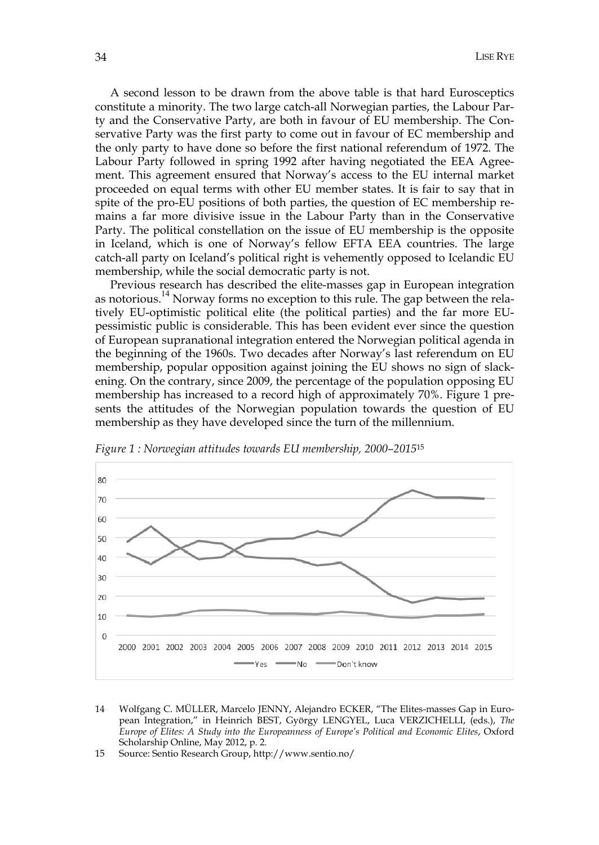A second lesson to be drawn from the above table is that hard Eurosceptics constitute a minority. The two large catch-all Norwegian parties, the Labour Party and the Conservative Party, are both in favour of EU membership. The Conservative Party was the first party to come out in favour of EC membership and the only party to have done so before the first national referendum of 1972. The Labour Party followed in spring 1992 after having negotiated the EEA Agreement. This agreement ensured that Norway's access to the EU internal market proceeded on equal terms with other EU member states. It is fair to say that in spite of the pro-EU positions of both parties, the question of EC membership remains a far more divisive issue in the Labour Party than in the Conservative Party. The political constellation on the issue of EU membership is the opposite in Iceland, which is one of Norway's fellow EFTA EEA countries. The large catch-all party on Iceland's political right is vehemently opposed to Icelandic EU membership, while the social democratic party is not.

Previous research has described the elite-masses gap in European integration as notorious.<sup>14</sup> Norway forms no exception to this rule. The gap between the relatively EU-optimistic political elite (the political parties) and the far more EUpessimistic public is considerable. This has been evident ever since the question of European supranational integration entered the Norwegian political agenda in the beginning of the 1960s. Two decades after Norway's last referendum on EU membership, popular opposition against joining the EU shows no sign of slackening. On the contrary, since 2009, the percentage of the population opposing EU membership has increased to a record high of approximately 70%. Figure 1 presents the attitudes of the Norwegian population towards the question of EU membership as they have developed since the turn of the millennium.



*Figure 1 : Norwegian attitudes towards EU membership, 2000–2015*<sup>15</sup>

<sup>14</sup> Wolfgang C. MÜLLER, Marcelo JENNY, Alejandro ECKER, "The Elites-masses Gap in European Integration," in Heinrich BEST, György LENGYEL, Luca VERZICHELLI, (eds.), *The Europe of Elites: A Study into the Europeanness of Europe's Political and Economic Elites*, Oxford Scholarship Online, May 2012, p. 2.

<sup>15</sup> Source: Sentio Research Group, http://www.sentio.no/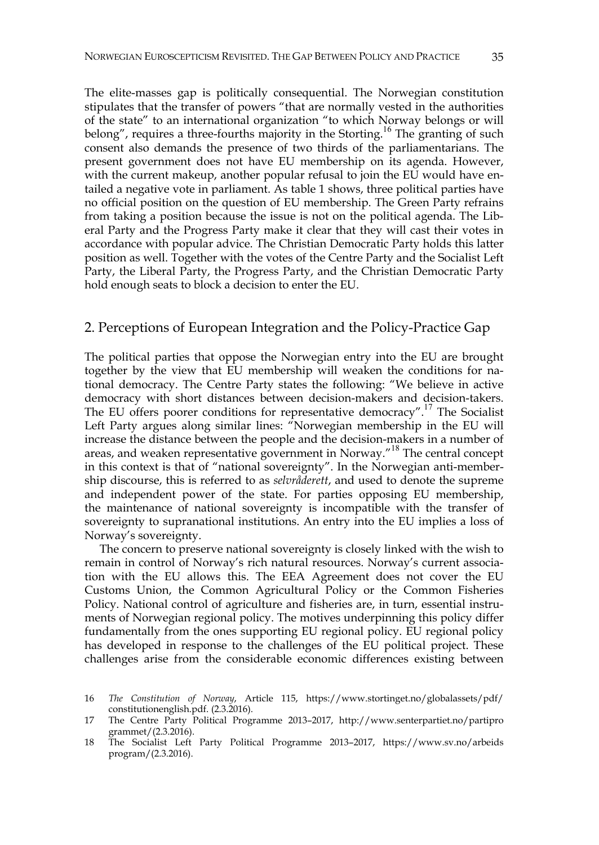The elite-masses gap is politically consequential. The Norwegian constitution stipulates that the transfer of powers "that are normally vested in the authorities of the state" to an international organization "to which Norway belongs or will belong", requires a three-fourths majority in the Storting.<sup>16</sup> The granting of such consent also demands the presence of two thirds of the parliamentarians. The present government does not have EU membership on its agenda. However, with the current makeup, another popular refusal to join the EU would have entailed a negative vote in parliament. As table 1 shows, three political parties have no official position on the question of EU membership. The Green Party refrains from taking a position because the issue is not on the political agenda. The Liberal Party and the Progress Party make it clear that they will cast their votes in accordance with popular advice. The Christian Democratic Party holds this latter position as well. Together with the votes of the Centre Party and the Socialist Left Party, the Liberal Party, the Progress Party, and the Christian Democratic Party hold enough seats to block a decision to enter the EU.

#### 2. Perceptions of European Integration and the Policy-Practice Gap

The political parties that oppose the Norwegian entry into the EU are brought together by the view that EU membership will weaken the conditions for national democracy. The Centre Party states the following: "We believe in active democracy with short distances between decision-makers and decision-takers. The EU offers poorer conditions for representative democracy".<sup>17</sup> The Socialist Left Party argues along similar lines: "Norwegian membership in the EU will increase the distance between the people and the decision-makers in a number of areas, and weaken representative government in Norway."<sup>18</sup> The central concept in this context is that of "national sovereignty". In the Norwegian anti-membership discourse, this is referred to as *selvråderett*, and used to denote the supreme and independent power of the state. For parties opposing EU membership, the maintenance of national sovereignty is incompatible with the transfer of sovereignty to supranational institutions. An entry into the EU implies a loss of Norway's sovereignty.

The concern to preserve national sovereignty is closely linked with the wish to remain in control of Norway's rich natural resources. Norway's current association with the EU allows this. The EEA Agreement does not cover the EU Customs Union, the Common Agricultural Policy or the Common Fisheries Policy. National control of agriculture and fisheries are, in turn, essential instruments of Norwegian regional policy. The motives underpinning this policy differ fundamentally from the ones supporting EU regional policy. EU regional policy has developed in response to the challenges of the EU political project. These challenges arise from the considerable economic differences existing between

<sup>16</sup> *The Constitution of Norway*, Article 115, https://www.stortinget.no/globalassets/pdf/ constitutionenglish.pdf. (2.3.2016).

<sup>17</sup> The Centre Party Political Programme 2013–2017, http://www.senterpartiet.no/partipro grammet/(2.3.2016).

<sup>18</sup> The Socialist Left Party Political Programme 2013–2017, https://www.sv.no/arbeids program/(2.3.2016).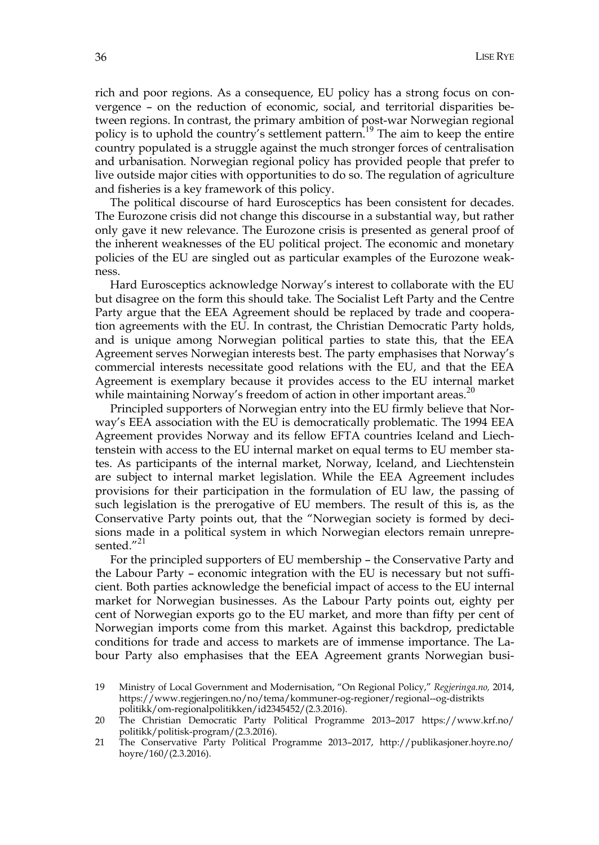rich and poor regions. As a consequence, EU policy has a strong focus on convergence – on the reduction of economic, social, and territorial disparities between regions. In contrast, the primary ambition of post-war Norwegian regional policy is to uphold the country's settlement pattern.<sup>19</sup> The aim to keep the entire country populated is a struggle against the much stronger forces of centralisation and urbanisation. Norwegian regional policy has provided people that prefer to live outside major cities with opportunities to do so. The regulation of agriculture and fisheries is a key framework of this policy.

The political discourse of hard Eurosceptics has been consistent for decades. The Eurozone crisis did not change this discourse in a substantial way, but rather only gave it new relevance. The Eurozone crisis is presented as general proof of the inherent weaknesses of the EU political project. The economic and monetary policies of the EU are singled out as particular examples of the Eurozone weakness.

Hard Eurosceptics acknowledge Norway's interest to collaborate with the EU but disagree on the form this should take. The Socialist Left Party and the Centre Party argue that the EEA Agreement should be replaced by trade and cooperation agreements with the EU. In contrast, the Christian Democratic Party holds, and is unique among Norwegian political parties to state this, that the EEA Agreement serves Norwegian interests best. The party emphasises that Norway's commercial interests necessitate good relations with the EU, and that the EEA Agreement is exemplary because it provides access to the EU internal market while maintaining Norway's freedom of action in other important areas.<sup>20</sup>

Principled supporters of Norwegian entry into the EU firmly believe that Norway's EEA association with the EU is democratically problematic. The 1994 EEA Agreement provides Norway and its fellow EFTA countries Iceland and Liechtenstein with access to the EU internal market on equal terms to EU member states. As participants of the internal market, Norway, Iceland, and Liechtenstein are subject to internal market legislation. While the EEA Agreement includes provisions for their participation in the formulation of EU law, the passing of such legislation is the prerogative of EU members. The result of this is, as the Conservative Party points out, that the "Norwegian society is formed by decisions made in a political system in which Norwegian electors remain unrepresented."21

For the principled supporters of EU membership – the Conservative Party and the Labour Party – economic integration with the EU is necessary but not sufficient. Both parties acknowledge the beneficial impact of access to the EU internal market for Norwegian businesses. As the Labour Party points out, eighty per cent of Norwegian exports go to the EU market, and more than fifty per cent of Norwegian imports come from this market. Against this backdrop, predictable conditions for trade and access to markets are of immense importance. The Labour Party also emphasises that the EEA Agreement grants Norwegian busi-

<sup>19</sup> Ministry of Local Government and Modernisation, "On Regional Policy," *Regjeringa.no,* 2014, https://www.regjeringen.no/no/tema/kommuner-og-regioner/regional--og-distrikts politikk/om-regionalpolitikken/id2345452/(2.3.2016).

<sup>20</sup> The Christian Democratic Party Political Programme 2013–2017 https://www.krf.no/ politikk/politisk-program/(2.3.2016).

<sup>21</sup> The Conservative Party Political Programme 2013–2017, http://publikasjoner.hoyre.no/ hoyre/160/(2.3.2016).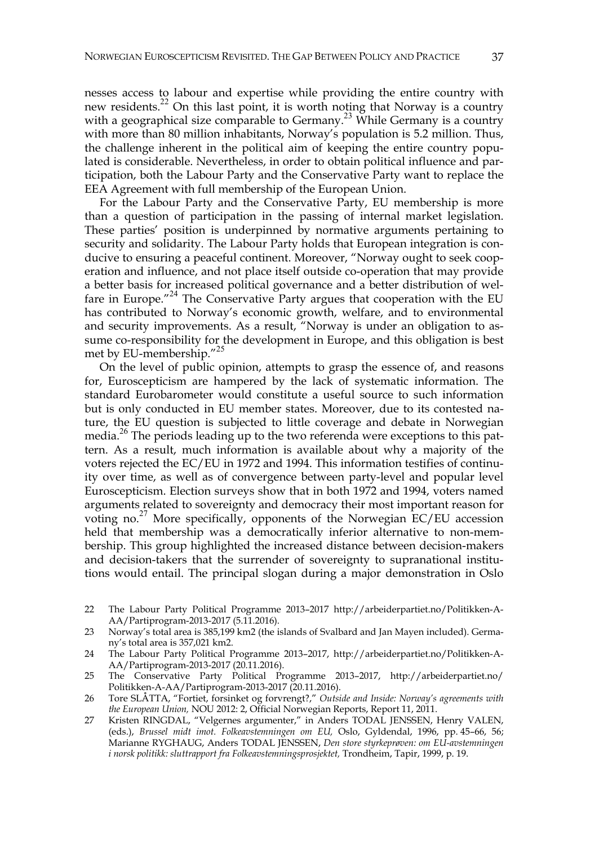nesses access to labour and expertise while providing the entire country with new residents.<sup>22</sup> On this last point, it is worth noting that Norway is a country with a geographical size comparable to Germany.<sup>23</sup> While Germany is a country with more than 80 million inhabitants, Norway's population is 5.2 million. Thus, the challenge inherent in the political aim of keeping the entire country populated is considerable. Nevertheless, in order to obtain political influence and participation, both the Labour Party and the Conservative Party want to replace the EEA Agreement with full membership of the European Union.

For the Labour Party and the Conservative Party, EU membership is more than a question of participation in the passing of internal market legislation. These parties' position is underpinned by normative arguments pertaining to security and solidarity. The Labour Party holds that European integration is conducive to ensuring a peaceful continent. Moreover, "Norway ought to seek cooperation and influence, and not place itself outside co-operation that may provide a better basis for increased political governance and a better distribution of welfare in Europe." $^{24}$  The Conservative Party argues that cooperation with the EU has contributed to Norway's economic growth, welfare, and to environmental and security improvements. As a result, "Norway is under an obligation to assume co-responsibility for the development in Europe, and this obligation is best met by EU-membership."<sup>25</sup>

On the level of public opinion, attempts to grasp the essence of, and reasons for, Euroscepticism are hampered by the lack of systematic information. The standard Eurobarometer would constitute a useful source to such information but is only conducted in EU member states. Moreover, due to its contested nature, the EU question is subjected to little coverage and debate in Norwegian media.26 The periods leading up to the two referenda were exceptions to this pattern. As a result, much information is available about why a majority of the voters rejected the EC/EU in 1972 and 1994. This information testifies of continuity over time, as well as of convergence between party-level and popular level Euroscepticism. Election surveys show that in both 1972 and 1994, voters named arguments related to sovereignty and democracy their most important reason for voting no.<sup>27</sup> More specifically, opponents of the Norwegian EC/EU accession held that membership was a democratically inferior alternative to non-membership. This group highlighted the increased distance between decision-makers and decision-takers that the surrender of sovereignty to supranational institutions would entail. The principal slogan during a major demonstration in Oslo

- 22 The Labour Party Political Programme 2013–2017 http://arbeiderpartiet.no/Politikken-A-AA/Partiprogram-2013-2017 (5.11.2016).
- 23 Norway's total area is 385,199 km2 (the islands of Svalbard and Jan Mayen included). Germany's total area is 357,021 km2.
- 24 The Labour Party Political Programme 2013–2017, http://arbeiderpartiet.no/Politikken-A-AA/Partiprogram-2013-2017 (20.11.2016).
- 25 The Conservative Party Political Programme 2013–2017, http://arbeiderpartiet.no/ Politikken-A-AA/Partiprogram-2013-2017 (20.11.2016).
- 26 Tore SLÅTTA, "Fortiet, forsinket og forvrengt?," *Outside and Inside: Norway's agreements with the European Union,* NOU 2012: 2, Official Norwegian Reports, Report 11, 2011.
- 27 Kristen RINGDAL, "Velgernes argumenter," in Anders TODAL JENSSEN, Henry VALEN, (eds.), *Brussel midt imot. Folkeavstemningen om EU,* Oslo, Gyldendal, 1996, pp. 45–66, 56; Marianne RYGHAUG, Anders TODAL JENSSEN, *Den store styrkeprøven: om EU-avstemningen i norsk politikk: sluttrapport fra Folkeavstemningsprosjektet,* Trondheim, Tapir, 1999, p. 19.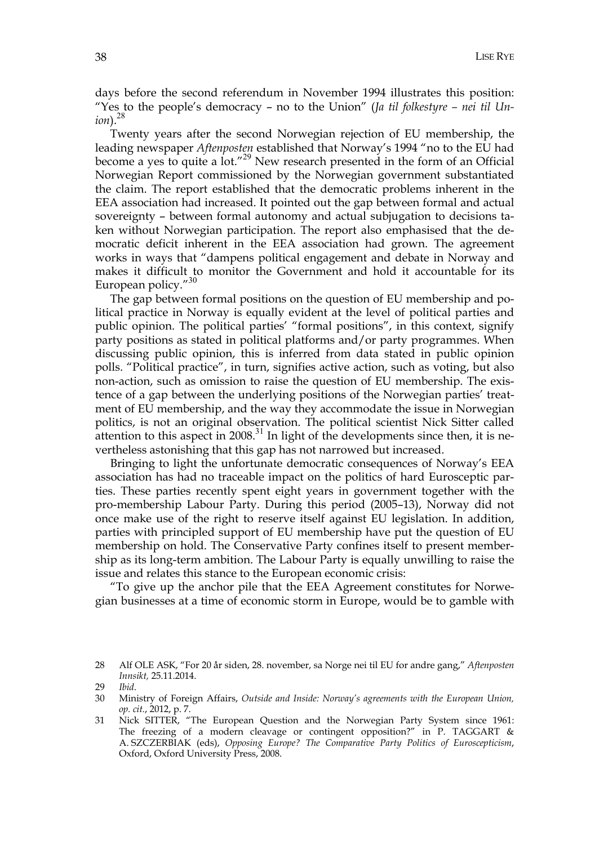days before the second referendum in November 1994 illustrates this position: "Yes to the people's democracy – no to the Union" (*Ja til folkestyre – nei til Union*).<sup>28</sup>

Twenty years after the second Norwegian rejection of EU membership, the leading newspaper *Aftenposten* established that Norway's 1994 "no to the EU had become a yes to quite a lot."29 New research presented in the form of an Official Norwegian Report commissioned by the Norwegian government substantiated the claim. The report established that the democratic problems inherent in the EEA association had increased. It pointed out the gap between formal and actual sovereignty – between formal autonomy and actual subjugation to decisions taken without Norwegian participation. The report also emphasised that the democratic deficit inherent in the EEA association had grown. The agreement works in ways that "dampens political engagement and debate in Norway and makes it difficult to monitor the Government and hold it accountable for its European policy."<sup>30</sup>

The gap between formal positions on the question of EU membership and political practice in Norway is equally evident at the level of political parties and public opinion. The political parties' "formal positions", in this context, signify party positions as stated in political platforms and/or party programmes. When discussing public opinion, this is inferred from data stated in public opinion polls. "Political practice", in turn, signifies active action, such as voting, but also non-action, such as omission to raise the question of EU membership. The existence of a gap between the underlying positions of the Norwegian parties' treatment of EU membership, and the way they accommodate the issue in Norwegian politics, is not an original observation. The political scientist Nick Sitter called attention to this aspect in 2008. $31$  In light of the developments since then, it is nevertheless astonishing that this gap has not narrowed but increased.

Bringing to light the unfortunate democratic consequences of Norway's EEA association has had no traceable impact on the politics of hard Eurosceptic parties. These parties recently spent eight years in government together with the pro-membership Labour Party. During this period (2005–13), Norway did not once make use of the right to reserve itself against EU legislation. In addition, parties with principled support of EU membership have put the question of EU membership on hold. The Conservative Party confines itself to present membership as its long-term ambition. The Labour Party is equally unwilling to raise the issue and relates this stance to the European economic crisis:

"To give up the anchor pile that the EEA Agreement constitutes for Norwegian businesses at a time of economic storm in Europe, would be to gamble with

<sup>28</sup> Alf OLE ASK, "For 20 år siden, 28. november, sa Norge nei til EU for andre gang," *Aftenposten Innsikt,* 25.11.2014.

<sup>29</sup> *Ibid*.

<sup>30</sup> Ministry of Foreign Affairs, *Outside and Inside: Norway's agreements with the European Union, op. cit.*, 2012, p. 7.

<sup>31</sup> Nick SITTER, "The European Question and the Norwegian Party System since 1961: The freezing of a modern cleavage or contingent opposition?" in P. TAGGART & A. SZCZERBIAK (eds), *Opposing Europe? The Comparative Party Politics of Euroscepticism*, Oxford, Oxford University Press, 2008.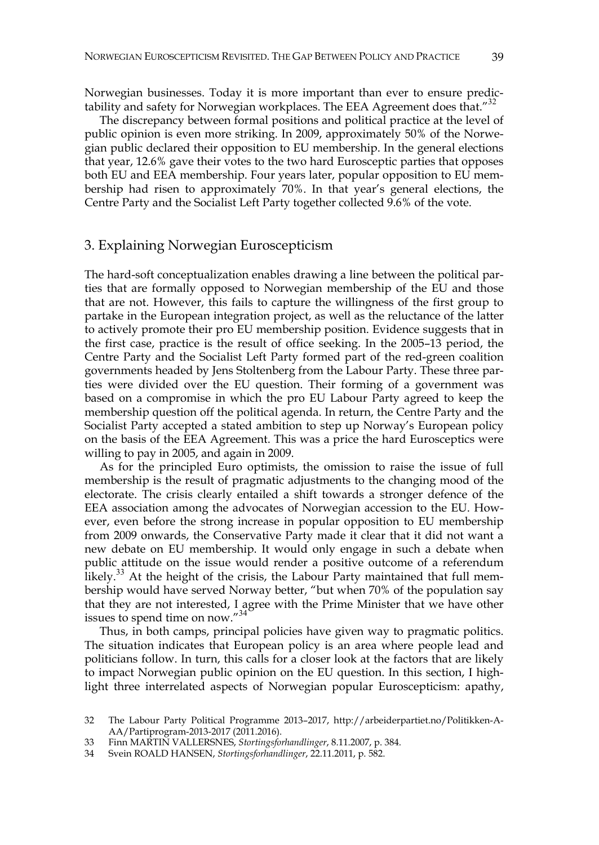Norwegian businesses. Today it is more important than ever to ensure predictability and safety for Norwegian workplaces. The EEA Agreement does that."<sup>32</sup>

The discrepancy between formal positions and political practice at the level of public opinion is even more striking. In 2009, approximately 50% of the Norwegian public declared their opposition to EU membership. In the general elections that year, 12.6% gave their votes to the two hard Eurosceptic parties that opposes both EU and EEA membership. Four years later, popular opposition to EU membership had risen to approximately 70%. In that year's general elections, the Centre Party and the Socialist Left Party together collected 9.6% of the vote.

#### 3. Explaining Norwegian Euroscepticism

The hard-soft conceptualization enables drawing a line between the political parties that are formally opposed to Norwegian membership of the EU and those that are not. However, this fails to capture the willingness of the first group to partake in the European integration project, as well as the reluctance of the latter to actively promote their pro EU membership position. Evidence suggests that in the first case, practice is the result of office seeking. In the 2005–13 period, the Centre Party and the Socialist Left Party formed part of the red-green coalition governments headed by Jens Stoltenberg from the Labour Party. These three parties were divided over the EU question. Their forming of a government was based on a compromise in which the pro EU Labour Party agreed to keep the membership question off the political agenda. In return, the Centre Party and the Socialist Party accepted a stated ambition to step up Norway's European policy on the basis of the EEA Agreement. This was a price the hard Eurosceptics were willing to pay in 2005, and again in 2009.

As for the principled Euro optimists, the omission to raise the issue of full membership is the result of pragmatic adjustments to the changing mood of the electorate. The crisis clearly entailed a shift towards a stronger defence of the EEA association among the advocates of Norwegian accession to the EU. However, even before the strong increase in popular opposition to EU membership from 2009 onwards, the Conservative Party made it clear that it did not want a new debate on EU membership. It would only engage in such a debate when public attitude on the issue would render a positive outcome of a referendum likely.<sup>33</sup> At the height of the crisis, the Labour Party maintained that full membership would have served Norway better, "but when 70% of the population say that they are not interested, I agree with the Prime Minister that we have other issues to spend time on now."<sup>34</sup>

Thus, in both camps, principal policies have given way to pragmatic politics. The situation indicates that European policy is an area where people lead and politicians follow. In turn, this calls for a closer look at the factors that are likely to impact Norwegian public opinion on the EU question. In this section, I highlight three interrelated aspects of Norwegian popular Euroscepticism: apathy,

<sup>32</sup> The Labour Party Political Programme 2013–2017, http://arbeiderpartiet.no/Politikken-A-AA/Partiprogram-2013-2017 (2011.2016).

<sup>33</sup> Finn MARTIN VALLERSNES, *Stortingsforhandlinger*, 8.11.2007, p. 384.

<sup>34</sup> Svein ROALD HANSEN, *Stortingsforhandlinger*, 22.11.2011, p. 582.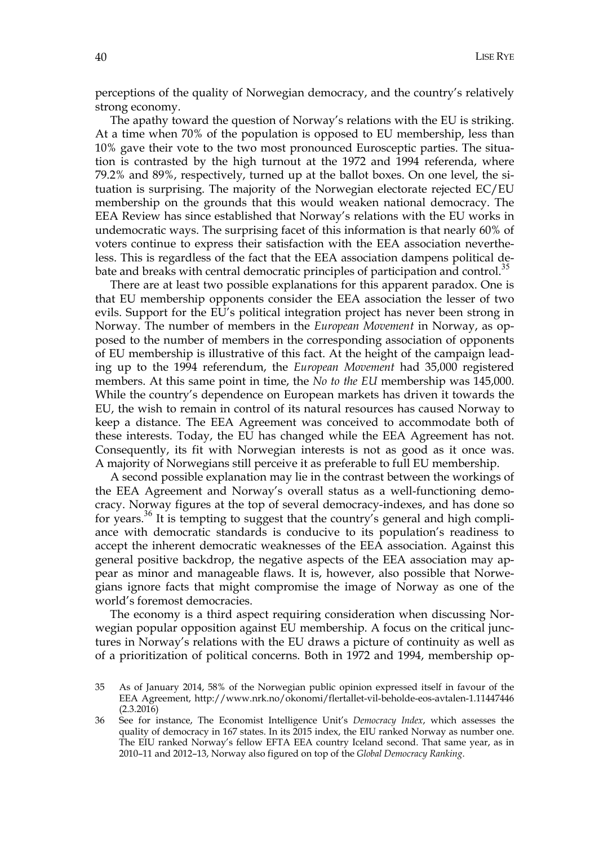perceptions of the quality of Norwegian democracy, and the country's relatively strong economy.

The apathy toward the question of Norway's relations with the EU is striking. At a time when 70% of the population is opposed to EU membership, less than 10% gave their vote to the two most pronounced Eurosceptic parties. The situation is contrasted by the high turnout at the 1972 and 1994 referenda, where 79.2% and 89%, respectively, turned up at the ballot boxes. On one level, the situation is surprising. The majority of the Norwegian electorate rejected EC/EU membership on the grounds that this would weaken national democracy. The EEA Review has since established that Norway's relations with the EU works in undemocratic ways. The surprising facet of this information is that nearly 60% of voters continue to express their satisfaction with the EEA association nevertheless. This is regardless of the fact that the EEA association dampens political debate and breaks with central democratic principles of participation and control.<sup>35</sup>

There are at least two possible explanations for this apparent paradox. One is that EU membership opponents consider the EEA association the lesser of two evils. Support for the EU's political integration project has never been strong in Norway. The number of members in the *European Movement* in Norway, as opposed to the number of members in the corresponding association of opponents of EU membership is illustrative of this fact. At the height of the campaign leading up to the 1994 referendum, the *European Movement* had 35,000 registered members. At this same point in time, the *No to the EU* membership was 145,000. While the country's dependence on European markets has driven it towards the EU, the wish to remain in control of its natural resources has caused Norway to keep a distance. The EEA Agreement was conceived to accommodate both of these interests. Today, the EU has changed while the EEA Agreement has not. Consequently, its fit with Norwegian interests is not as good as it once was. A majority of Norwegians still perceive it as preferable to full EU membership.

A second possible explanation may lie in the contrast between the workings of the EEA Agreement and Norway's overall status as a well-functioning democracy. Norway figures at the top of several democracy-indexes, and has done so for years.36 It is tempting to suggest that the country's general and high compliance with democratic standards is conducive to its population's readiness to accept the inherent democratic weaknesses of the EEA association. Against this general positive backdrop, the negative aspects of the EEA association may appear as minor and manageable flaws. It is, however, also possible that Norwegians ignore facts that might compromise the image of Norway as one of the world's foremost democracies.

The economy is a third aspect requiring consideration when discussing Norwegian popular opposition against EU membership. A focus on the critical junctures in Norway's relations with the EU draws a picture of continuity as well as of a prioritization of political concerns. Both in 1972 and 1994, membership op-

<sup>35</sup> As of January 2014, 58% of the Norwegian public opinion expressed itself in favour of the EEA Agreement, http://www.nrk.no/okonomi/flertallet-vil-beholde-eos-avtalen-1.11447446 (2.3.2016)

<sup>36</sup> See for instance, The Economist Intelligence Unit's *Democracy Index*, which assesses the quality of democracy in 167 states. In its 2015 index, the EIU ranked Norway as number one. The EIU ranked Norway's fellow EFTA EEA country Iceland second. That same year, as in 2010–11 and 2012–13, Norway also figured on top of the *Global Democracy Ranking*.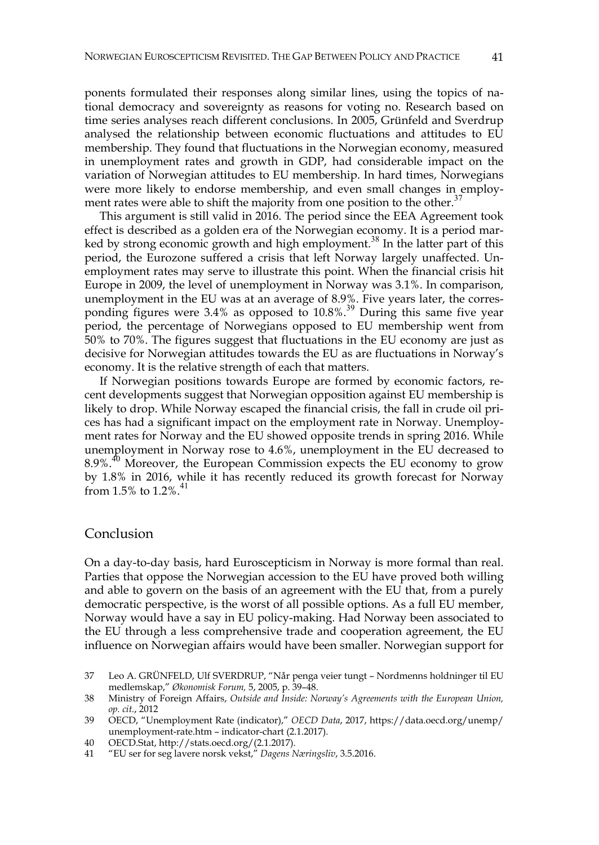ponents formulated their responses along similar lines, using the topics of national democracy and sovereignty as reasons for voting no. Research based on time series analyses reach different conclusions. In 2005, Grünfeld and Sverdrup analysed the relationship between economic fluctuations and attitudes to EU membership. They found that fluctuations in the Norwegian economy, measured in unemployment rates and growth in GDP, had considerable impact on the variation of Norwegian attitudes to EU membership. In hard times, Norwegians were more likely to endorse membership, and even small changes in employment rates were able to shift the majority from one position to the other.<sup>37</sup>

This argument is still valid in 2016. The period since the EEA Agreement took effect is described as a golden era of the Norwegian economy. It is a period marked by strong economic growth and high employment.<sup>38</sup> In the latter part of this period, the Eurozone suffered a crisis that left Norway largely unaffected. Unemployment rates may serve to illustrate this point. When the financial crisis hit Europe in 2009, the level of unemployment in Norway was 3.1%. In comparison, unemployment in the EU was at an average of 8.9%. Five years later, the corresponding figures were 3.4% as opposed to 10.8%.<sup>39</sup> During this same five year period, the percentage of Norwegians opposed to EU membership went from 50% to 70%. The figures suggest that fluctuations in the EU economy are just as decisive for Norwegian attitudes towards the EU as are fluctuations in Norway's economy. It is the relative strength of each that matters.

If Norwegian positions towards Europe are formed by economic factors, recent developments suggest that Norwegian opposition against EU membership is likely to drop. While Norway escaped the financial crisis, the fall in crude oil prices has had a significant impact on the employment rate in Norway. Unemployment rates for Norway and the EU showed opposite trends in spring 2016. While unemployment in Norway rose to 4.6%, unemployment in the EU decreased to 8.9%.<sup>40</sup> Moreover, the European Commission expects the EU economy to grow by 1.8% in 2016, while it has recently reduced its growth forecast for Norway from 1.5% to  $1.2\%$ .

#### Conclusion

On a day-to-day basis, hard Euroscepticism in Norway is more formal than real. Parties that oppose the Norwegian accession to the EU have proved both willing and able to govern on the basis of an agreement with the EU that, from a purely democratic perspective, is the worst of all possible options. As a full EU member, Norway would have a say in EU policy-making. Had Norway been associated to the EU through a less comprehensive trade and cooperation agreement, the EU influence on Norwegian affairs would have been smaller. Norwegian support for

<sup>37</sup> Leo A. GRÜNFELD, Ulf SVERDRUP, "Når penga veier tungt – Nordmenns holdninger til EU medlemskap," *Økonomisk Forum,* 5, 2005, p. 39–48.

<sup>38</sup> Ministry of Foreign Affairs, *Outside and Inside: Norway's Agreements with the European Union, op. cit.*, 2012

<sup>39</sup> OECD, "Unemployment Rate (indicator)," *OECD Data*, 2017, https://data.oecd.org/unemp/ unemployment-rate.htm – indicator-chart (2.1.2017).

<sup>40</sup> OECD.Stat, http://stats.oecd.org/(2.1.2017).

<sup>41 &</sup>quot;EU ser for seg lavere norsk vekst," *Dagens Næringsliv*, 3.5.2016.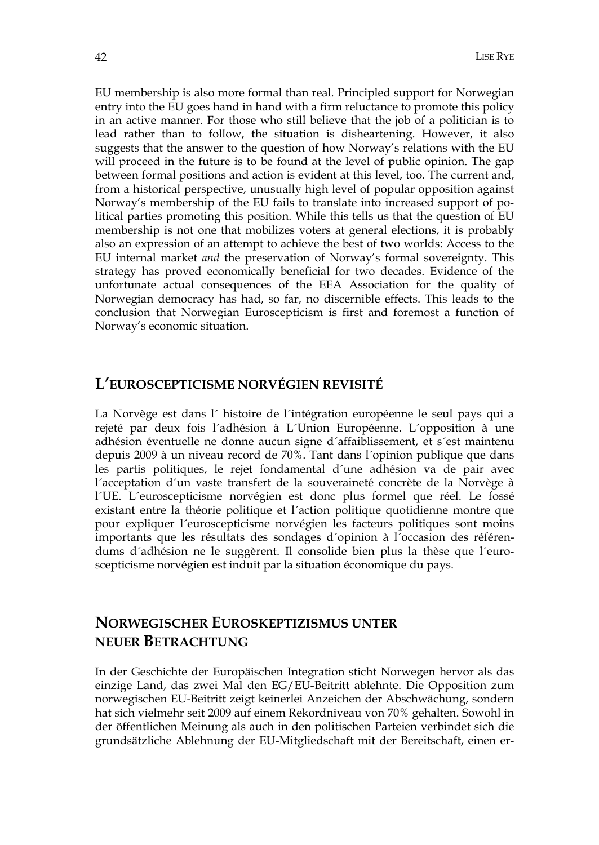EU membership is also more formal than real. Principled support for Norwegian entry into the EU goes hand in hand with a firm reluctance to promote this policy in an active manner. For those who still believe that the job of a politician is to lead rather than to follow, the situation is disheartening. However, it also suggests that the answer to the question of how Norway's relations with the EU will proceed in the future is to be found at the level of public opinion. The gap between formal positions and action is evident at this level, too. The current and, from a historical perspective, unusually high level of popular opposition against Norway's membership of the EU fails to translate into increased support of political parties promoting this position. While this tells us that the question of EU membership is not one that mobilizes voters at general elections, it is probably also an expression of an attempt to achieve the best of two worlds: Access to the EU internal market *and* the preservation of Norway's formal sovereignty. This strategy has proved economically beneficial for two decades. Evidence of the unfortunate actual consequences of the EEA Association for the quality of Norwegian democracy has had, so far, no discernible effects. This leads to the conclusion that Norwegian Euroscepticism is first and foremost a function of Norway's economic situation.

### **L'EUROSCEPTICISME NORVÉGIEN REVISITÉ**

La Norvège est dans l´ histoire de l´intégration européenne le seul pays qui a rejeté par deux fois l´adhésion à L´Union Européenne. L´opposition à une adhésion éventuelle ne donne aucun signe d´affaiblissement, et s´est maintenu depuis 2009 à un niveau record de 70%. Tant dans l´opinion publique que dans les partis politiques, le rejet fondamental d´une adhésion va de pair avec l´acceptation d´un vaste transfert de la souveraineté concrète de la Norvège à l´UE. L´euroscepticisme norvégien est donc plus formel que réel. Le fossé existant entre la théorie politique et l´action politique quotidienne montre que pour expliquer l´euroscepticisme norvégien les facteurs politiques sont moins importants que les résultats des sondages d´opinion à l´occasion des référendums d´adhésion ne le suggèrent. Il consolide bien plus la thèse que l´euroscepticisme norvégien est induit par la situation économique du pays.

## **NORWEGISCHER EUROSKEPTIZISMUS UNTER NEUER BETRACHTUNG**

In der Geschichte der Europäischen Integration sticht Norwegen hervor als das einzige Land, das zwei Mal den EG/EU-Beitritt ablehnte. Die Opposition zum norwegischen EU-Beitritt zeigt keinerlei Anzeichen der Abschwächung, sondern hat sich vielmehr seit 2009 auf einem Rekordniveau von 70% gehalten. Sowohl in der öffentlichen Meinung als auch in den politischen Parteien verbindet sich die grundsätzliche Ablehnung der EU-Mitgliedschaft mit der Bereitschaft, einen er-